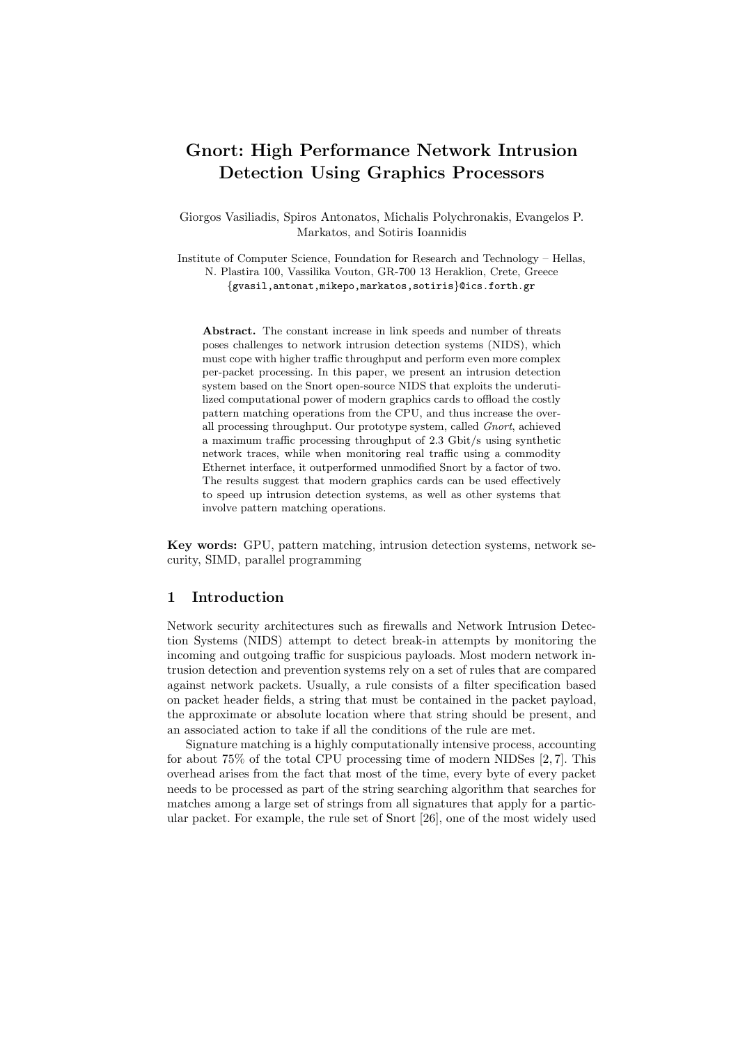# Gnort: High Performance Network Intrusion Detection Using Graphics Processors

Giorgos Vasiliadis, Spiros Antonatos, Michalis Polychronakis, Evangelos P. Markatos, and Sotiris Ioannidis

Institute of Computer Science, Foundation for Research and Technology – Hellas, N. Plastira 100, Vassilika Vouton, GR-700 13 Heraklion, Crete, Greece {gvasil,antonat,mikepo,markatos,sotiris}@ics.forth.gr

Abstract. The constant increase in link speeds and number of threats poses challenges to network intrusion detection systems (NIDS), which must cope with higher traffic throughput and perform even more complex per-packet processing. In this paper, we present an intrusion detection system based on the Snort open-source NIDS that exploits the underutilized computational power of modern graphics cards to offload the costly pattern matching operations from the CPU, and thus increase the overall processing throughput. Our prototype system, called Gnort, achieved a maximum traffic processing throughput of 2.3 Gbit/s using synthetic network traces, while when monitoring real traffic using a commodity Ethernet interface, it outperformed unmodified Snort by a factor of two. The results suggest that modern graphics cards can be used effectively to speed up intrusion detection systems, as well as other systems that involve pattern matching operations.

Key words: GPU, pattern matching, intrusion detection systems, network security, SIMD, parallel programming

### 1 Introduction

Network security architectures such as firewalls and Network Intrusion Detection Systems (NIDS) attempt to detect break-in attempts by monitoring the incoming and outgoing traffic for suspicious payloads. Most modern network intrusion detection and prevention systems rely on a set of rules that are compared against network packets. Usually, a rule consists of a filter specification based on packet header fields, a string that must be contained in the packet payload, the approximate or absolute location where that string should be present, and an associated action to take if all the conditions of the rule are met.

Signature matching is a highly computationally intensive process, accounting for about 75% of the total CPU processing time of modern NIDSes [2, 7]. This overhead arises from the fact that most of the time, every byte of every packet needs to be processed as part of the string searching algorithm that searches for matches among a large set of strings from all signatures that apply for a particular packet. For example, the rule set of Snort [26], one of the most widely used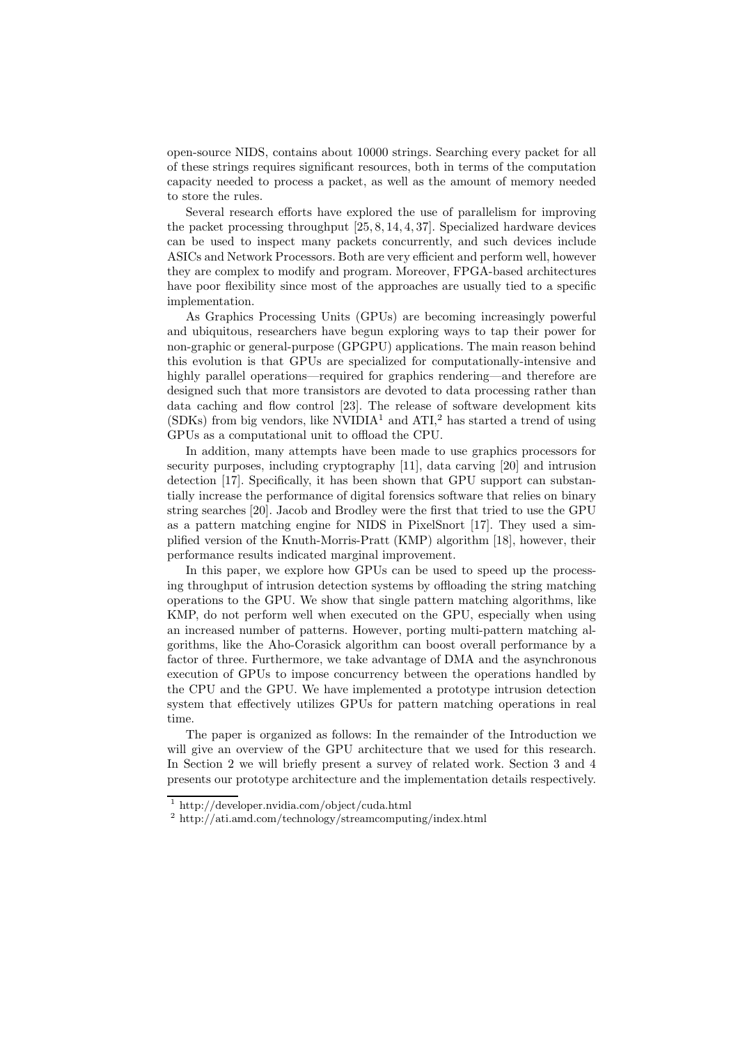open-source NIDS, contains about 10000 strings. Searching every packet for all of these strings requires significant resources, both in terms of the computation capacity needed to process a packet, as well as the amount of memory needed to store the rules.

Several research efforts have explored the use of parallelism for improving the packet processing throughput [25, 8, 14, 4, 37]. Specialized hardware devices can be used to inspect many packets concurrently, and such devices include ASICs and Network Processors. Both are very efficient and perform well, however they are complex to modify and program. Moreover, FPGA-based architectures have poor flexibility since most of the approaches are usually tied to a specific implementation.

As Graphics Processing Units (GPUs) are becoming increasingly powerful and ubiquitous, researchers have begun exploring ways to tap their power for non-graphic or general-purpose (GPGPU) applications. The main reason behind this evolution is that GPUs are specialized for computationally-intensive and highly parallel operations—required for graphics rendering—and therefore are designed such that more transistors are devoted to data processing rather than data caching and flow control [23]. The release of software development kits  $(SDKs)$  from big vendors, like NVIDIA<sup>1</sup> and ATI,<sup>2</sup> has started a trend of using GPUs as a computational unit to offload the CPU.

In addition, many attempts have been made to use graphics processors for security purposes, including cryptography [11], data carving [20] and intrusion detection [17]. Specifically, it has been shown that GPU support can substantially increase the performance of digital forensics software that relies on binary string searches [20]. Jacob and Brodley were the first that tried to use the GPU as a pattern matching engine for NIDS in PixelSnort [17]. They used a simplified version of the Knuth-Morris-Pratt (KMP) algorithm [18], however, their performance results indicated marginal improvement.

In this paper, we explore how GPUs can be used to speed up the processing throughput of intrusion detection systems by offloading the string matching operations to the GPU. We show that single pattern matching algorithms, like KMP, do not perform well when executed on the GPU, especially when using an increased number of patterns. However, porting multi-pattern matching algorithms, like the Aho-Corasick algorithm can boost overall performance by a factor of three. Furthermore, we take advantage of DMA and the asynchronous execution of GPUs to impose concurrency between the operations handled by the CPU and the GPU. We have implemented a prototype intrusion detection system that effectively utilizes GPUs for pattern matching operations in real time.

The paper is organized as follows: In the remainder of the Introduction we will give an overview of the GPU architecture that we used for this research. In Section 2 we will briefly present a survey of related work. Section 3 and 4 presents our prototype architecture and the implementation details respectively.

<sup>1</sup> http://developer.nvidia.com/object/cuda.html

<sup>2</sup> http://ati.amd.com/technology/streamcomputing/index.html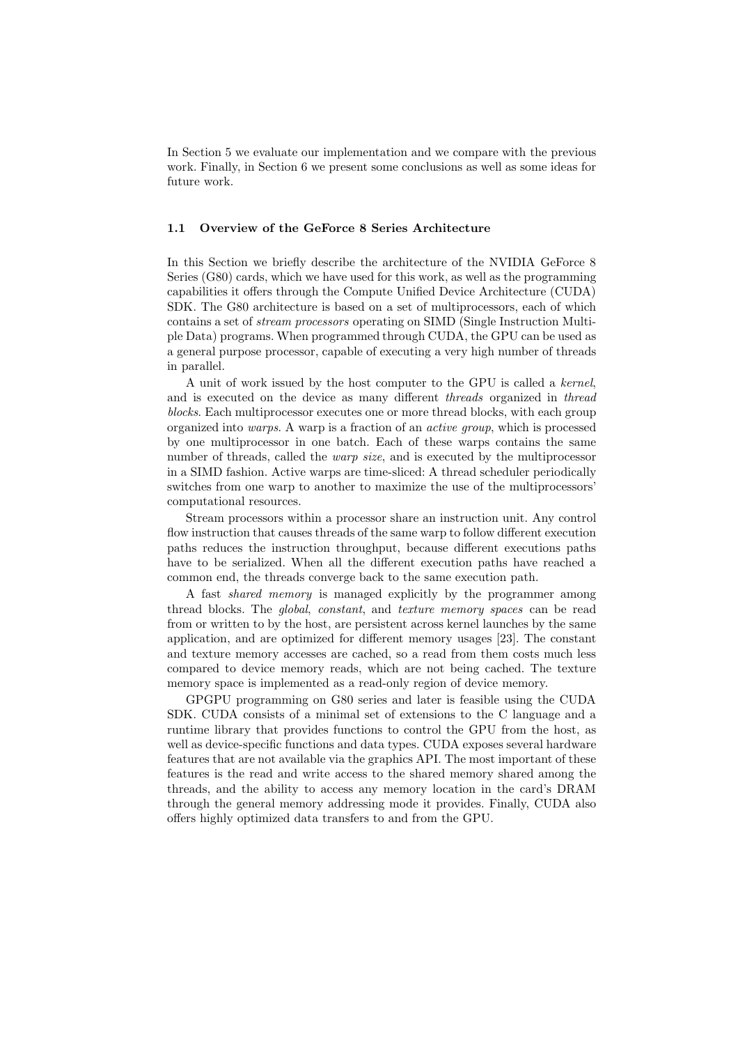In Section 5 we evaluate our implementation and we compare with the previous work. Finally, in Section 6 we present some conclusions as well as some ideas for future work.

#### 1.1 Overview of the GeForce 8 Series Architecture

In this Section we briefly describe the architecture of the NVIDIA GeForce 8 Series (G80) cards, which we have used for this work, as well as the programming capabilities it offers through the Compute Unified Device Architecture (CUDA) SDK. The G80 architecture is based on a set of multiprocessors, each of which contains a set of stream processors operating on SIMD (Single Instruction Multiple Data) programs. When programmed through CUDA, the GPU can be used as a general purpose processor, capable of executing a very high number of threads in parallel.

A unit of work issued by the host computer to the GPU is called a kernel, and is executed on the device as many different *threads* organized in *thread* blocks. Each multiprocessor executes one or more thread blocks, with each group organized into warps. A warp is a fraction of an active group, which is processed by one multiprocessor in one batch. Each of these warps contains the same number of threads, called the *warp size*, and is executed by the multiprocessor in a SIMD fashion. Active warps are time-sliced: A thread scheduler periodically switches from one warp to another to maximize the use of the multiprocessors' computational resources.

Stream processors within a processor share an instruction unit. Any control flow instruction that causes threads of the same warp to follow different execution paths reduces the instruction throughput, because different executions paths have to be serialized. When all the different execution paths have reached a common end, the threads converge back to the same execution path.

A fast shared memory is managed explicitly by the programmer among thread blocks. The *global, constant*, and *texture memory spaces* can be read from or written to by the host, are persistent across kernel launches by the same application, and are optimized for different memory usages [23]. The constant and texture memory accesses are cached, so a read from them costs much less compared to device memory reads, which are not being cached. The texture memory space is implemented as a read-only region of device memory.

GPGPU programming on G80 series and later is feasible using the CUDA SDK. CUDA consists of a minimal set of extensions to the C language and a runtime library that provides functions to control the GPU from the host, as well as device-specific functions and data types. CUDA exposes several hardware features that are not available via the graphics API. The most important of these features is the read and write access to the shared memory shared among the threads, and the ability to access any memory location in the card's DRAM through the general memory addressing mode it provides. Finally, CUDA also offers highly optimized data transfers to and from the GPU.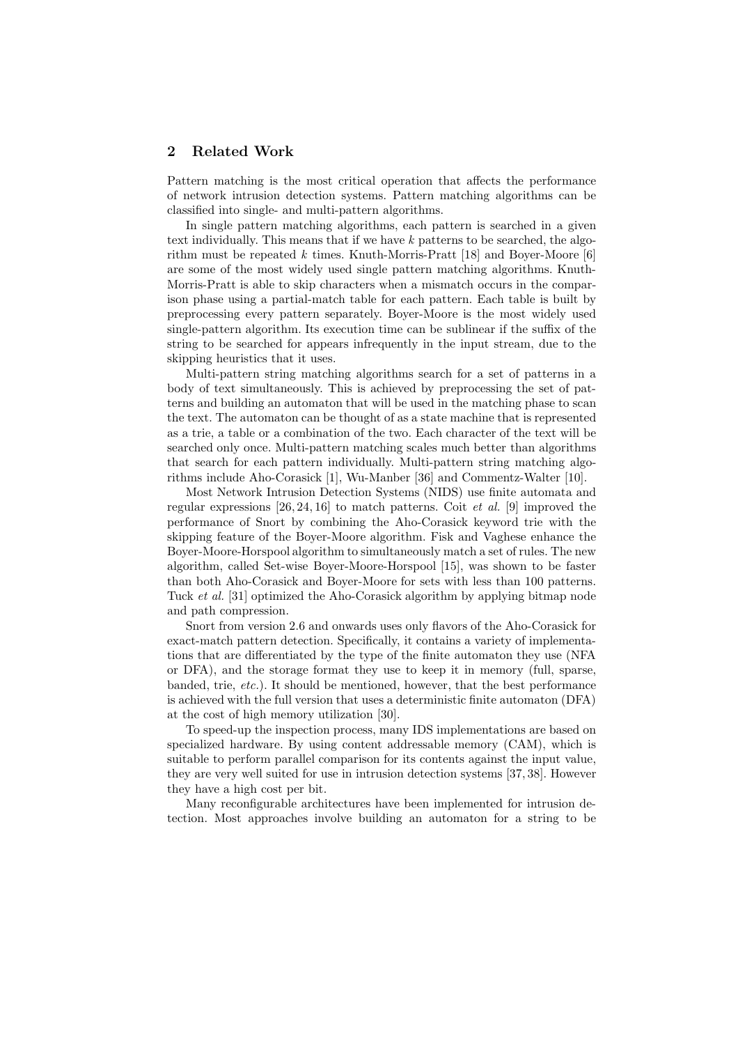# 2 Related Work

Pattern matching is the most critical operation that affects the performance of network intrusion detection systems. Pattern matching algorithms can be classified into single- and multi-pattern algorithms.

In single pattern matching algorithms, each pattern is searched in a given text individually. This means that if we have  $k$  patterns to be searched, the algorithm must be repeated k times. Knuth-Morris-Pratt [18] and Boyer-Moore [6] are some of the most widely used single pattern matching algorithms. Knuth-Morris-Pratt is able to skip characters when a mismatch occurs in the comparison phase using a partial-match table for each pattern. Each table is built by preprocessing every pattern separately. Boyer-Moore is the most widely used single-pattern algorithm. Its execution time can be sublinear if the suffix of the string to be searched for appears infrequently in the input stream, due to the skipping heuristics that it uses.

Multi-pattern string matching algorithms search for a set of patterns in a body of text simultaneously. This is achieved by preprocessing the set of patterns and building an automaton that will be used in the matching phase to scan the text. The automaton can be thought of as a state machine that is represented as a trie, a table or a combination of the two. Each character of the text will be searched only once. Multi-pattern matching scales much better than algorithms that search for each pattern individually. Multi-pattern string matching algorithms include Aho-Corasick [1], Wu-Manber [36] and Commentz-Walter [10].

Most Network Intrusion Detection Systems (NIDS) use finite automata and regular expressions  $[26, 24, 16]$  to match patterns. Coit *et al.* [9] improved the performance of Snort by combining the Aho-Corasick keyword trie with the skipping feature of the Boyer-Moore algorithm. Fisk and Vaghese enhance the Boyer-Moore-Horspool algorithm to simultaneously match a set of rules. The new algorithm, called Set-wise Boyer-Moore-Horspool [15], was shown to be faster than both Aho-Corasick and Boyer-Moore for sets with less than 100 patterns. Tuck et al. [31] optimized the Aho-Corasick algorithm by applying bitmap node and path compression.

Snort from version 2.6 and onwards uses only flavors of the Aho-Corasick for exact-match pattern detection. Specifically, it contains a variety of implementations that are differentiated by the type of the finite automaton they use (NFA or DFA), and the storage format they use to keep it in memory (full, sparse, banded, trie, etc.). It should be mentioned, however, that the best performance is achieved with the full version that uses a deterministic finite automaton (DFA) at the cost of high memory utilization [30].

To speed-up the inspection process, many IDS implementations are based on specialized hardware. By using content addressable memory (CAM), which is suitable to perform parallel comparison for its contents against the input value, they are very well suited for use in intrusion detection systems [37, 38]. However they have a high cost per bit.

Many reconfigurable architectures have been implemented for intrusion detection. Most approaches involve building an automaton for a string to be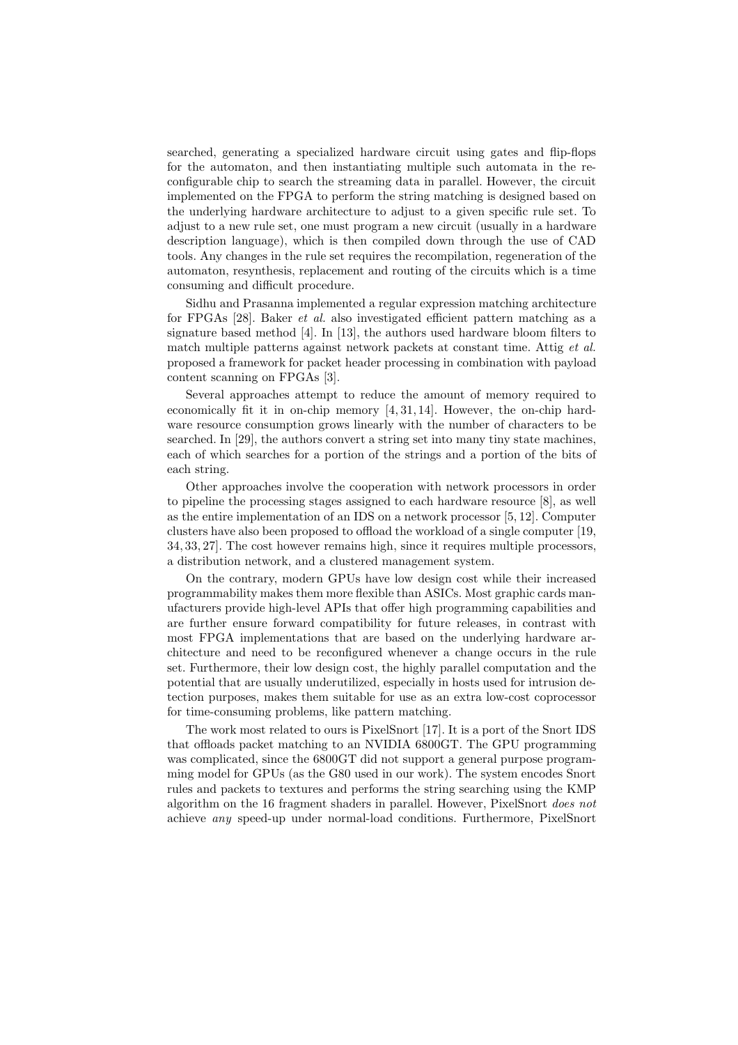searched, generating a specialized hardware circuit using gates and flip-flops for the automaton, and then instantiating multiple such automata in the reconfigurable chip to search the streaming data in parallel. However, the circuit implemented on the FPGA to perform the string matching is designed based on the underlying hardware architecture to adjust to a given specific rule set. To adjust to a new rule set, one must program a new circuit (usually in a hardware description language), which is then compiled down through the use of CAD tools. Any changes in the rule set requires the recompilation, regeneration of the automaton, resynthesis, replacement and routing of the circuits which is a time consuming and difficult procedure.

Sidhu and Prasanna implemented a regular expression matching architecture for FPGAs [28]. Baker et al. also investigated efficient pattern matching as a signature based method [4]. In [13], the authors used hardware bloom filters to match multiple patterns against network packets at constant time. Attig et al. proposed a framework for packet header processing in combination with payload content scanning on FPGAs [3].

Several approaches attempt to reduce the amount of memory required to economically fit it in on-chip memory [4, 31, 14]. However, the on-chip hardware resource consumption grows linearly with the number of characters to be searched. In [29], the authors convert a string set into many tiny state machines, each of which searches for a portion of the strings and a portion of the bits of each string.

Other approaches involve the cooperation with network processors in order to pipeline the processing stages assigned to each hardware resource [8], as well as the entire implementation of an IDS on a network processor [5, 12]. Computer clusters have also been proposed to offload the workload of a single computer [19, 34, 33, 27]. The cost however remains high, since it requires multiple processors, a distribution network, and a clustered management system.

On the contrary, modern GPUs have low design cost while their increased programmability makes them more flexible than ASICs. Most graphic cards manufacturers provide high-level APIs that offer high programming capabilities and are further ensure forward compatibility for future releases, in contrast with most FPGA implementations that are based on the underlying hardware architecture and need to be reconfigured whenever a change occurs in the rule set. Furthermore, their low design cost, the highly parallel computation and the potential that are usually underutilized, especially in hosts used for intrusion detection purposes, makes them suitable for use as an extra low-cost coprocessor for time-consuming problems, like pattern matching.

The work most related to ours is PixelSnort [17]. It is a port of the Snort IDS that offloads packet matching to an NVIDIA 6800GT. The GPU programming was complicated, since the 6800GT did not support a general purpose programming model for GPUs (as the G80 used in our work). The system encodes Snort rules and packets to textures and performs the string searching using the KMP algorithm on the 16 fragment shaders in parallel. However, PixelSnort does not achieve any speed-up under normal-load conditions. Furthermore, PixelSnort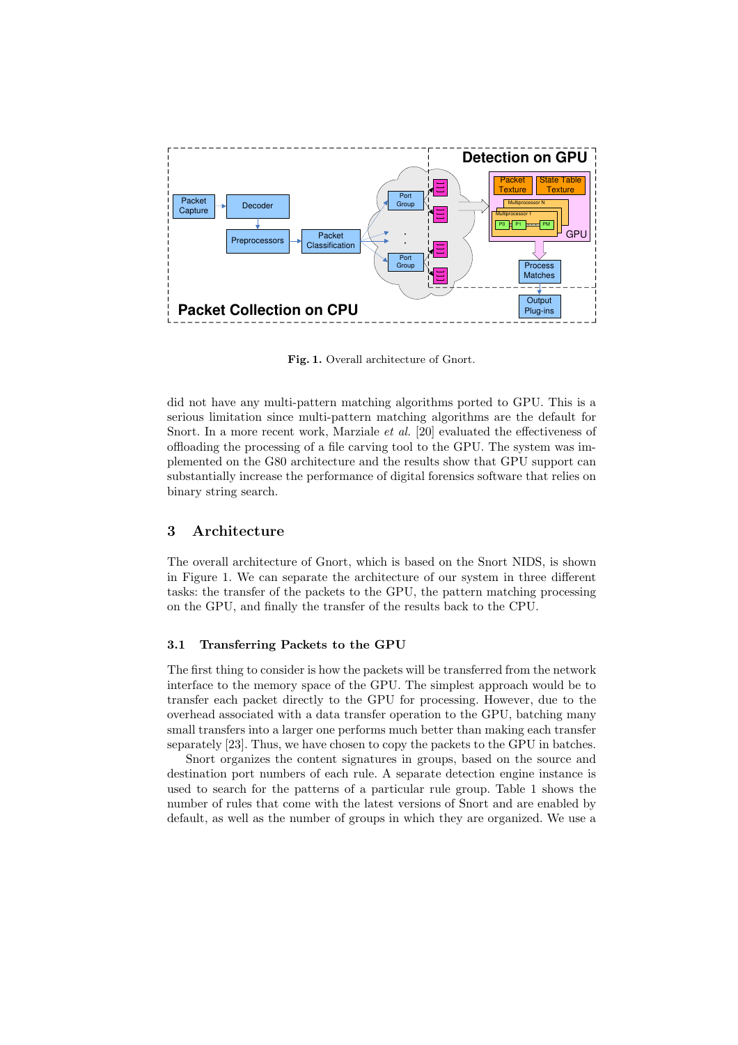

Fig. 1. Overall architecture of Gnort.

did not have any multi-pattern matching algorithms ported to GPU. This is a serious limitation since multi-pattern matching algorithms are the default for Snort. In a more recent work, Marziale *et al.* [20] evaluated the effectiveness of offloading the processing of a file carving tool to the GPU. The system was implemented on the G80 architecture and the results show that GPU support can substantially increase the performance of digital forensics software that relies on binary string search.

## 3 Architecture

The overall architecture of Gnort, which is based on the Snort NIDS, is shown in Figure 1. We can separate the architecture of our system in three different tasks: the transfer of the packets to the GPU, the pattern matching processing on the GPU, and finally the transfer of the results back to the CPU.

## 3.1 Transferring Packets to the GPU

The first thing to consider is how the packets will be transferred from the network interface to the memory space of the GPU. The simplest approach would be to transfer each packet directly to the GPU for processing. However, due to the overhead associated with a data transfer operation to the GPU, batching many small transfers into a larger one performs much better than making each transfer separately [23]. Thus, we have chosen to copy the packets to the GPU in batches.

Snort organizes the content signatures in groups, based on the source and destination port numbers of each rule. A separate detection engine instance is used to search for the patterns of a particular rule group. Table 1 shows the number of rules that come with the latest versions of Snort and are enabled by default, as well as the number of groups in which they are organized. We use a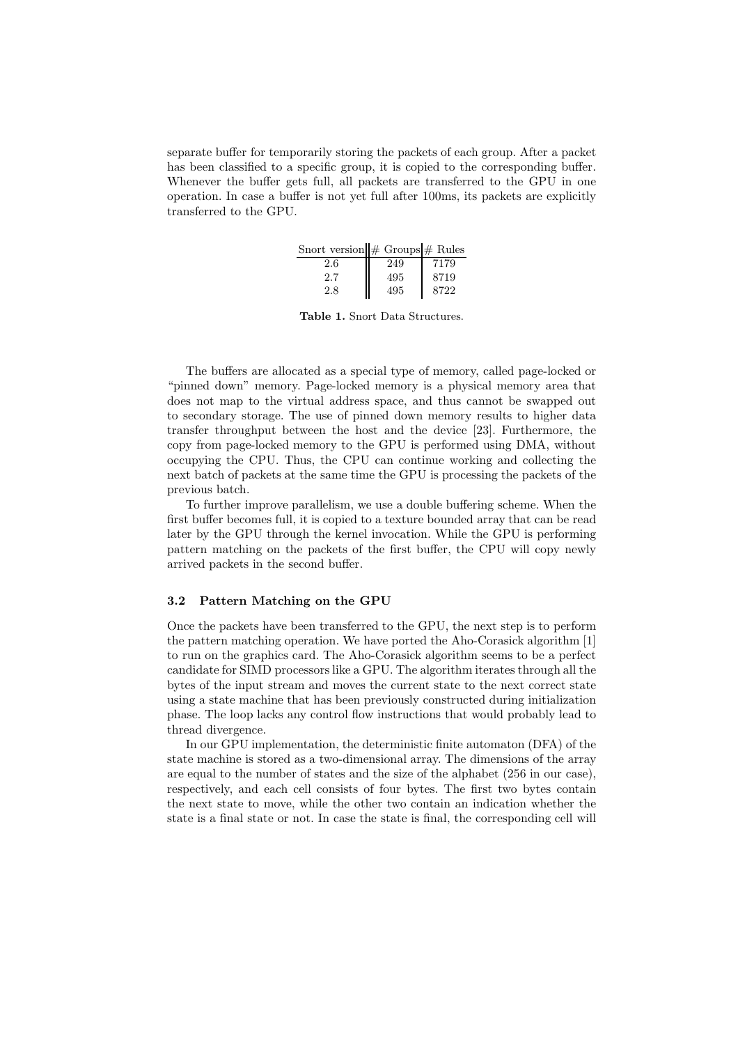separate buffer for temporarily storing the packets of each group. After a packet has been classified to a specific group, it is copied to the corresponding buffer. Whenever the buffer gets full, all packets are transferred to the GPU in one operation. In case a buffer is not yet full after 100ms, its packets are explicitly transferred to the GPU.

| Snort version $\#$ Groups $\#$ Rules |     |      |
|--------------------------------------|-----|------|
| 2.6                                  | 249 | 7179 |
| 2.7                                  | 495 | 8719 |
| 2.8                                  | 495 | 8722 |

Table 1. Snort Data Structures.

The buffers are allocated as a special type of memory, called page-locked or "pinned down" memory. Page-locked memory is a physical memory area that does not map to the virtual address space, and thus cannot be swapped out to secondary storage. The use of pinned down memory results to higher data transfer throughput between the host and the device [23]. Furthermore, the copy from page-locked memory to the GPU is performed using DMA, without occupying the CPU. Thus, the CPU can continue working and collecting the next batch of packets at the same time the GPU is processing the packets of the previous batch.

To further improve parallelism, we use a double buffering scheme. When the first buffer becomes full, it is copied to a texture bounded array that can be read later by the GPU through the kernel invocation. While the GPU is performing pattern matching on the packets of the first buffer, the CPU will copy newly arrived packets in the second buffer.

#### 3.2 Pattern Matching on the GPU

Once the packets have been transferred to the GPU, the next step is to perform the pattern matching operation. We have ported the Aho-Corasick algorithm [1] to run on the graphics card. The Aho-Corasick algorithm seems to be a perfect candidate for SIMD processors like a GPU. The algorithm iterates through all the bytes of the input stream and moves the current state to the next correct state using a state machine that has been previously constructed during initialization phase. The loop lacks any control flow instructions that would probably lead to thread divergence.

In our GPU implementation, the deterministic finite automaton (DFA) of the state machine is stored as a two-dimensional array. The dimensions of the array are equal to the number of states and the size of the alphabet (256 in our case), respectively, and each cell consists of four bytes. The first two bytes contain the next state to move, while the other two contain an indication whether the state is a final state or not. In case the state is final, the corresponding cell will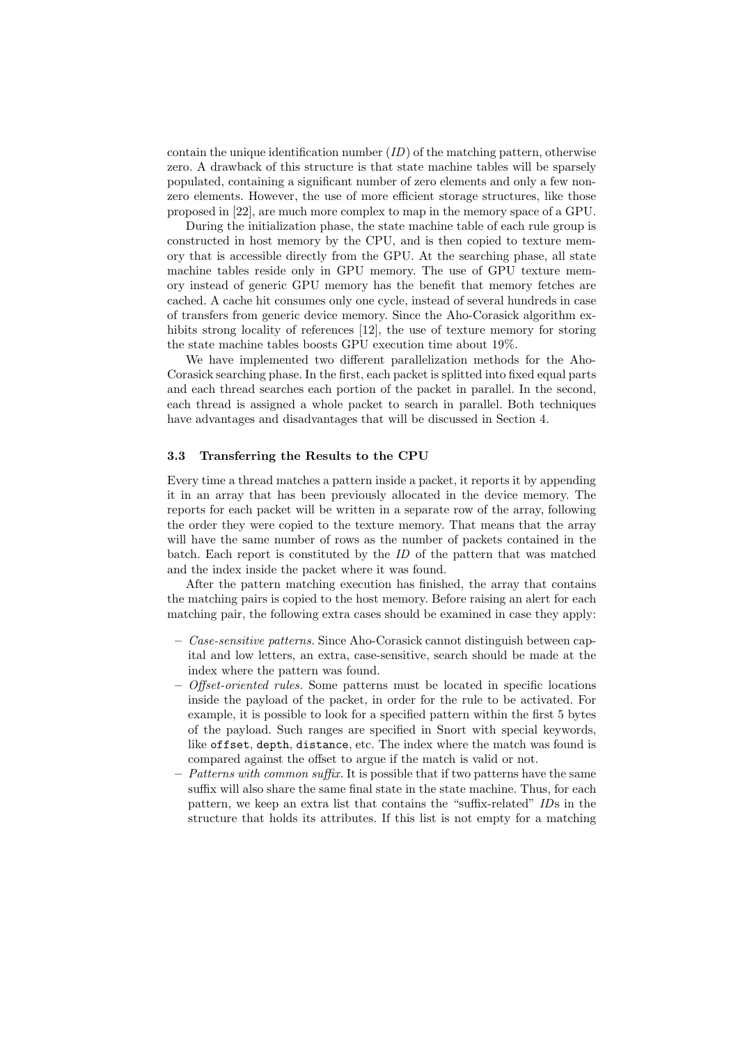contain the unique identification number  $(ID)$  of the matching pattern, otherwise zero. A drawback of this structure is that state machine tables will be sparsely populated, containing a significant number of zero elements and only a few nonzero elements. However, the use of more efficient storage structures, like those proposed in [22], are much more complex to map in the memory space of a GPU.

During the initialization phase, the state machine table of each rule group is constructed in host memory by the CPU, and is then copied to texture memory that is accessible directly from the GPU. At the searching phase, all state machine tables reside only in GPU memory. The use of GPU texture memory instead of generic GPU memory has the benefit that memory fetches are cached. A cache hit consumes only one cycle, instead of several hundreds in case of transfers from generic device memory. Since the Aho-Corasick algorithm exhibits strong locality of references [12], the use of texture memory for storing the state machine tables boosts GPU execution time about 19%.

We have implemented two different parallelization methods for the Aho-Corasick searching phase. In the first, each packet is splitted into fixed equal parts and each thread searches each portion of the packet in parallel. In the second, each thread is assigned a whole packet to search in parallel. Both techniques have advantages and disadvantages that will be discussed in Section 4.

#### 3.3 Transferring the Results to the CPU

Every time a thread matches a pattern inside a packet, it reports it by appending it in an array that has been previously allocated in the device memory. The reports for each packet will be written in a separate row of the array, following the order they were copied to the texture memory. That means that the array will have the same number of rows as the number of packets contained in the batch. Each report is constituted by the ID of the pattern that was matched and the index inside the packet where it was found.

After the pattern matching execution has finished, the array that contains the matching pairs is copied to the host memory. Before raising an alert for each matching pair, the following extra cases should be examined in case they apply:

- Case-sensitive patterns. Since Aho-Corasick cannot distinguish between capital and low letters, an extra, case-sensitive, search should be made at the index where the pattern was found.
- $-$  *Offset-oriented rules.* Some patterns must be located in specific locations inside the payload of the packet, in order for the rule to be activated. For example, it is possible to look for a specified pattern within the first 5 bytes of the payload. Such ranges are specified in Snort with special keywords, like offset, depth, distance, etc. The index where the match was found is compared against the offset to argue if the match is valid or not.
- $-$  Patterns with common suffix. It is possible that if two patterns have the same suffix will also share the same final state in the state machine. Thus, for each pattern, we keep an extra list that contains the "suffix-related" IDs in the structure that holds its attributes. If this list is not empty for a matching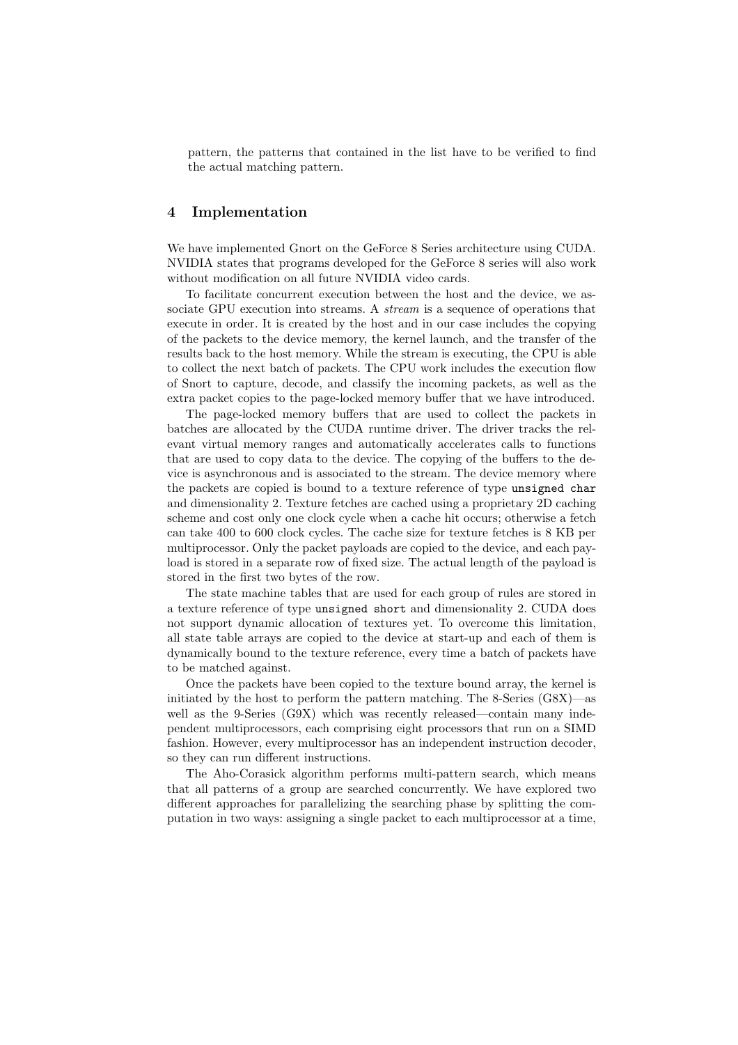pattern, the patterns that contained in the list have to be verified to find the actual matching pattern.

## 4 Implementation

We have implemented Gnort on the GeForce 8 Series architecture using CUDA. NVIDIA states that programs developed for the GeForce 8 series will also work without modification on all future NVIDIA video cards.

To facilitate concurrent execution between the host and the device, we associate GPU execution into streams. A *stream* is a sequence of operations that execute in order. It is created by the host and in our case includes the copying of the packets to the device memory, the kernel launch, and the transfer of the results back to the host memory. While the stream is executing, the CPU is able to collect the next batch of packets. The CPU work includes the execution flow of Snort to capture, decode, and classify the incoming packets, as well as the extra packet copies to the page-locked memory buffer that we have introduced.

The page-locked memory buffers that are used to collect the packets in batches are allocated by the CUDA runtime driver. The driver tracks the relevant virtual memory ranges and automatically accelerates calls to functions that are used to copy data to the device. The copying of the buffers to the device is asynchronous and is associated to the stream. The device memory where the packets are copied is bound to a texture reference of type unsigned char and dimensionality 2. Texture fetches are cached using a proprietary 2D caching scheme and cost only one clock cycle when a cache hit occurs; otherwise a fetch can take 400 to 600 clock cycles. The cache size for texture fetches is 8 KB per multiprocessor. Only the packet payloads are copied to the device, and each payload is stored in a separate row of fixed size. The actual length of the payload is stored in the first two bytes of the row.

The state machine tables that are used for each group of rules are stored in a texture reference of type unsigned short and dimensionality 2. CUDA does not support dynamic allocation of textures yet. To overcome this limitation, all state table arrays are copied to the device at start-up and each of them is dynamically bound to the texture reference, every time a batch of packets have to be matched against.

Once the packets have been copied to the texture bound array, the kernel is initiated by the host to perform the pattern matching. The 8-Series (G8X)—as well as the 9-Series (G9X) which was recently released—contain many independent multiprocessors, each comprising eight processors that run on a SIMD fashion. However, every multiprocessor has an independent instruction decoder, so they can run different instructions.

The Aho-Corasick algorithm performs multi-pattern search, which means that all patterns of a group are searched concurrently. We have explored two different approaches for parallelizing the searching phase by splitting the computation in two ways: assigning a single packet to each multiprocessor at a time,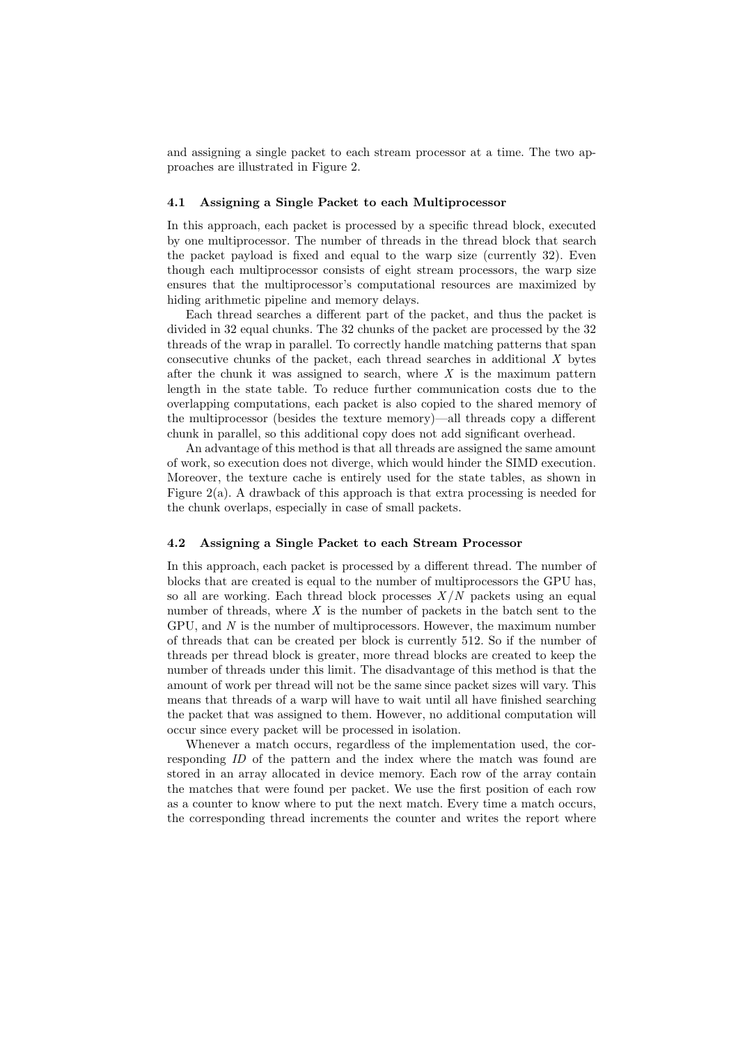and assigning a single packet to each stream processor at a time. The two approaches are illustrated in Figure 2.

#### 4.1 Assigning a Single Packet to each Multiprocessor

In this approach, each packet is processed by a specific thread block, executed by one multiprocessor. The number of threads in the thread block that search the packet payload is fixed and equal to the warp size (currently 32). Even though each multiprocessor consists of eight stream processors, the warp size ensures that the multiprocessor's computational resources are maximized by hiding arithmetic pipeline and memory delays.

Each thread searches a different part of the packet, and thus the packet is divided in 32 equal chunks. The 32 chunks of the packet are processed by the 32 threads of the wrap in parallel. To correctly handle matching patterns that span consecutive chunks of the packet, each thread searches in additional  $X$  bytes after the chunk it was assigned to search, where  $X$  is the maximum pattern length in the state table. To reduce further communication costs due to the overlapping computations, each packet is also copied to the shared memory of the multiprocessor (besides the texture memory)—all threads copy a different chunk in parallel, so this additional copy does not add significant overhead.

An advantage of this method is that all threads are assigned the same amount of work, so execution does not diverge, which would hinder the SIMD execution. Moreover, the texture cache is entirely used for the state tables, as shown in Figure  $2(a)$ . A drawback of this approach is that extra processing is needed for the chunk overlaps, especially in case of small packets.

#### 4.2 Assigning a Single Packet to each Stream Processor

In this approach, each packet is processed by a different thread. The number of blocks that are created is equal to the number of multiprocessors the GPU has, so all are working. Each thread block processes  $X/N$  packets using an equal number of threads, where  $X$  is the number of packets in the batch sent to the GPU, and N is the number of multiprocessors. However, the maximum number of threads that can be created per block is currently 512. So if the number of threads per thread block is greater, more thread blocks are created to keep the number of threads under this limit. The disadvantage of this method is that the amount of work per thread will not be the same since packet sizes will vary. This means that threads of a warp will have to wait until all have finished searching the packet that was assigned to them. However, no additional computation will occur since every packet will be processed in isolation.

Whenever a match occurs, regardless of the implementation used, the corresponding ID of the pattern and the index where the match was found are stored in an array allocated in device memory. Each row of the array contain the matches that were found per packet. We use the first position of each row as a counter to know where to put the next match. Every time a match occurs, the corresponding thread increments the counter and writes the report where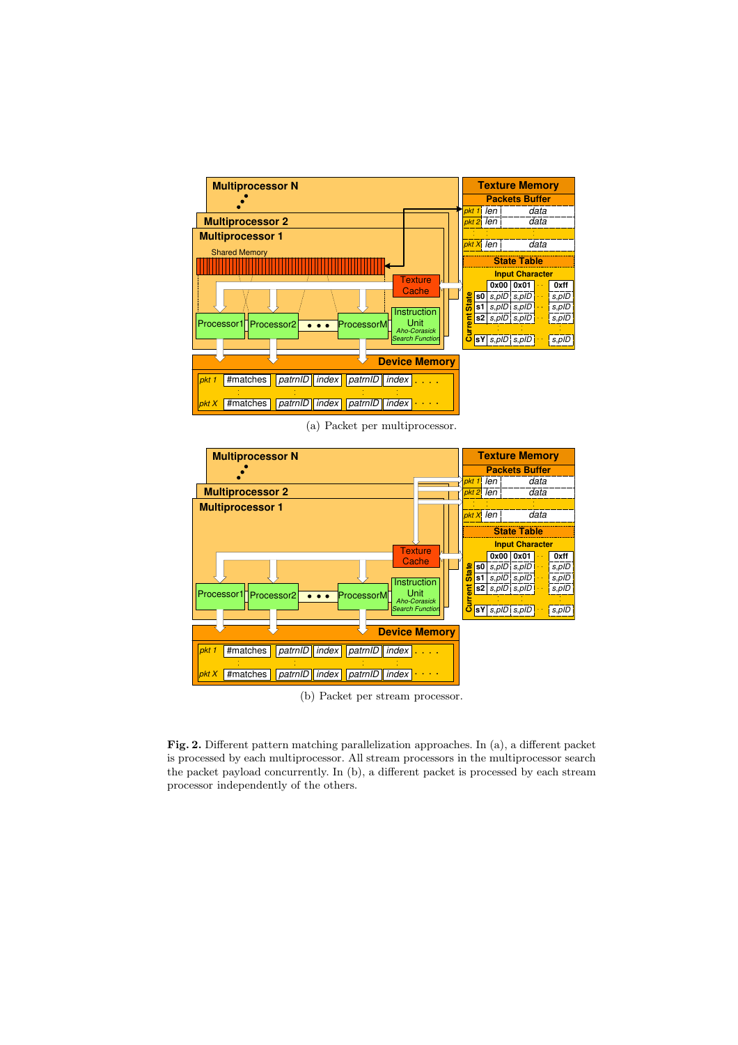

(a) Packet per multiprocessor.



(b) Packet per stream processor.

Fig. 2. Different pattern matching parallelization approaches. In (a), a different packet is processed by each multiprocessor. All stream processors in the multiprocessor search the packet payload concurrently. In (b), a different packet is processed by each stream processor independently of the others.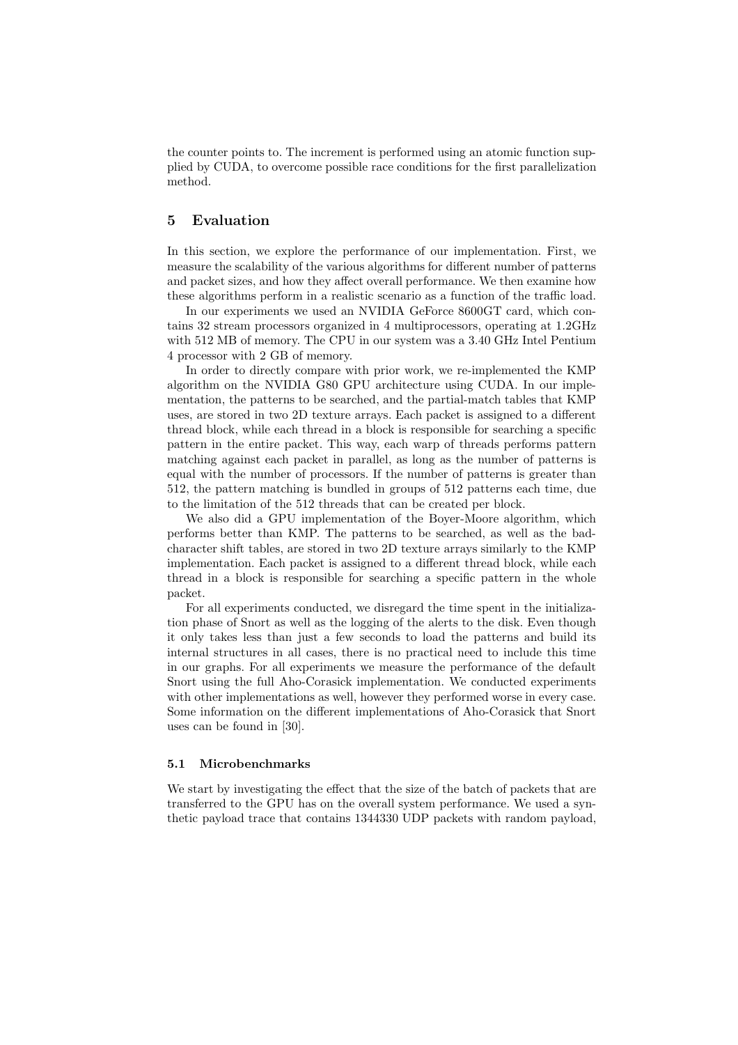the counter points to. The increment is performed using an atomic function supplied by CUDA, to overcome possible race conditions for the first parallelization method.

## 5 Evaluation

In this section, we explore the performance of our implementation. First, we measure the scalability of the various algorithms for different number of patterns and packet sizes, and how they affect overall performance. We then examine how these algorithms perform in a realistic scenario as a function of the traffic load.

In our experiments we used an NVIDIA GeForce 8600GT card, which contains 32 stream processors organized in 4 multiprocessors, operating at 1.2GHz with 512 MB of memory. The CPU in our system was a 3.40 GHz Intel Pentium 4 processor with 2 GB of memory.

In order to directly compare with prior work, we re-implemented the KMP algorithm on the NVIDIA G80 GPU architecture using CUDA. In our implementation, the patterns to be searched, and the partial-match tables that KMP uses, are stored in two 2D texture arrays. Each packet is assigned to a different thread block, while each thread in a block is responsible for searching a specific pattern in the entire packet. This way, each warp of threads performs pattern matching against each packet in parallel, as long as the number of patterns is equal with the number of processors. If the number of patterns is greater than 512, the pattern matching is bundled in groups of 512 patterns each time, due to the limitation of the 512 threads that can be created per block.

We also did a GPU implementation of the Boyer-Moore algorithm, which performs better than KMP. The patterns to be searched, as well as the badcharacter shift tables, are stored in two 2D texture arrays similarly to the KMP implementation. Each packet is assigned to a different thread block, while each thread in a block is responsible for searching a specific pattern in the whole packet.

For all experiments conducted, we disregard the time spent in the initialization phase of Snort as well as the logging of the alerts to the disk. Even though it only takes less than just a few seconds to load the patterns and build its internal structures in all cases, there is no practical need to include this time in our graphs. For all experiments we measure the performance of the default Snort using the full Aho-Corasick implementation. We conducted experiments with other implementations as well, however they performed worse in every case. Some information on the different implementations of Aho-Corasick that Snort uses can be found in [30].

#### 5.1 Microbenchmarks

We start by investigating the effect that the size of the batch of packets that are transferred to the GPU has on the overall system performance. We used a synthetic payload trace that contains 1344330 UDP packets with random payload,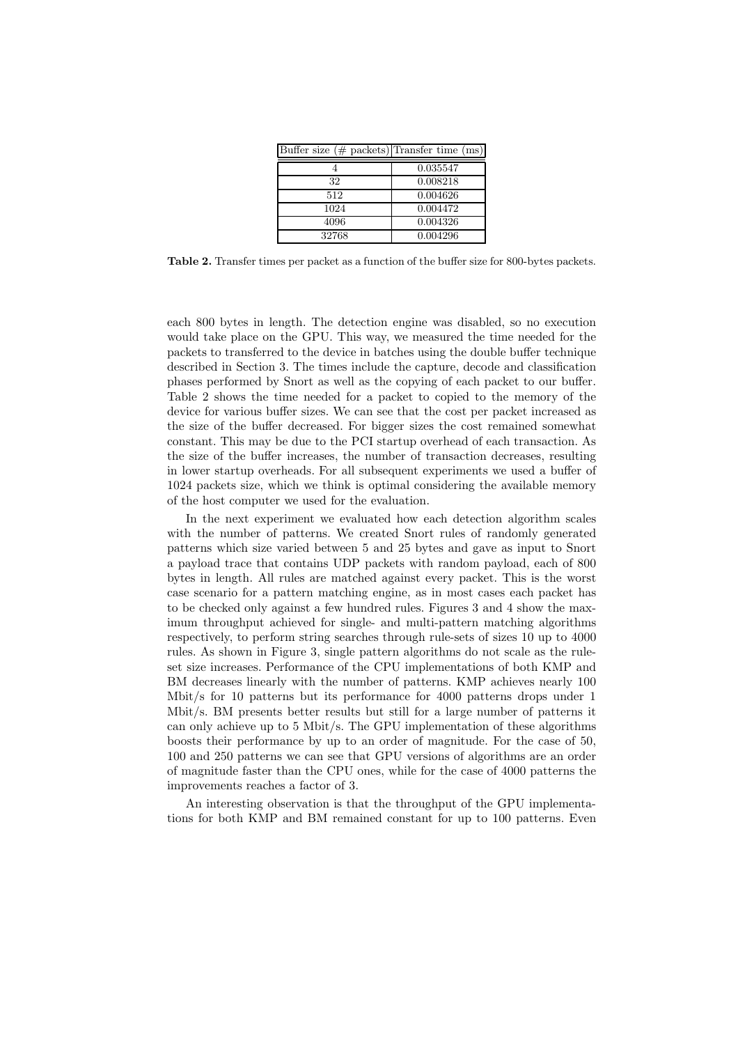| Buffer size $(\#$ packets) Transfer time (ms) |          |
|-----------------------------------------------|----------|
|                                               | 0.035547 |
| 32                                            | 0.008218 |
| 512                                           | 0.004626 |
| 1024                                          | 0.004472 |
| 4096                                          | 0.004326 |
| 32768                                         | 0.004296 |

Table 2. Transfer times per packet as a function of the buffer size for 800-bytes packets.

each 800 bytes in length. The detection engine was disabled, so no execution would take place on the GPU. This way, we measured the time needed for the packets to transferred to the device in batches using the double buffer technique described in Section 3. The times include the capture, decode and classification phases performed by Snort as well as the copying of each packet to our buffer. Table 2 shows the time needed for a packet to copied to the memory of the device for various buffer sizes. We can see that the cost per packet increased as the size of the buffer decreased. For bigger sizes the cost remained somewhat constant. This may be due to the PCI startup overhead of each transaction. As the size of the buffer increases, the number of transaction decreases, resulting in lower startup overheads. For all subsequent experiments we used a buffer of 1024 packets size, which we think is optimal considering the available memory of the host computer we used for the evaluation.

In the next experiment we evaluated how each detection algorithm scales with the number of patterns. We created Snort rules of randomly generated patterns which size varied between 5 and 25 bytes and gave as input to Snort a payload trace that contains UDP packets with random payload, each of 800 bytes in length. All rules are matched against every packet. This is the worst case scenario for a pattern matching engine, as in most cases each packet has to be checked only against a few hundred rules. Figures 3 and 4 show the maximum throughput achieved for single- and multi-pattern matching algorithms respectively, to perform string searches through rule-sets of sizes 10 up to 4000 rules. As shown in Figure 3, single pattern algorithms do not scale as the ruleset size increases. Performance of the CPU implementations of both KMP and BM decreases linearly with the number of patterns. KMP achieves nearly 100 Mbit/s for 10 patterns but its performance for 4000 patterns drops under 1 Mbit/s. BM presents better results but still for a large number of patterns it can only achieve up to 5 Mbit/s. The GPU implementation of these algorithms boosts their performance by up to an order of magnitude. For the case of 50, 100 and 250 patterns we can see that GPU versions of algorithms are an order of magnitude faster than the CPU ones, while for the case of 4000 patterns the improvements reaches a factor of 3.

An interesting observation is that the throughput of the GPU implementations for both KMP and BM remained constant for up to 100 patterns. Even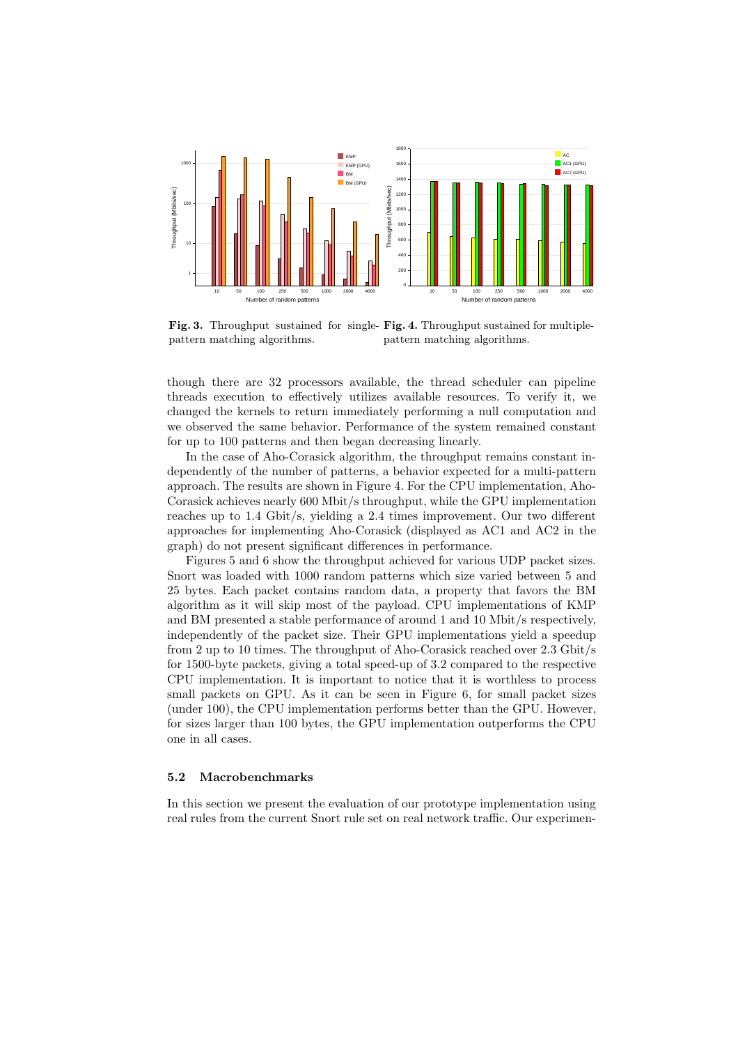

Fig. 3. Throughput sustained for single- Fig. 4. Throughput sustained for multiplepattern matching algorithms. pattern matching algorithms.

though there are 32 processors available, the thread scheduler can pipeline threads execution to effectively utilizes available resources. To verify it, we changed the kernels to return immediately performing a null computation and we observed the same behavior. Performance of the system remained constant for up to 100 patterns and then began decreasing linearly.

In the case of Aho-Corasick algorithm, the throughput remains constant independently of the number of patterns, a behavior expected for a multi-pattern approach. The results are shown in Figure 4. For the CPU implementation, Aho-Corasick achieves nearly 600 Mbit/s throughput, while the GPU implementation reaches up to 1.4 Gbit/s, yielding a 2.4 times improvement. Our two different approaches for implementing Aho-Corasick (displayed as AC1 and AC2 in the graph) do not present significant differences in performance.

Figures 5 and 6 show the throughput achieved for various UDP packet sizes. Snort was loaded with 1000 random patterns which size varied between 5 and 25 bytes. Each packet contains random data, a property that favors the BM algorithm as it will skip most of the payload. CPU implementations of KMP and BM presented a stable performance of around 1 and 10 Mbit/s respectively, independently of the packet size. Their GPU implementations yield a speedup from 2 up to 10 times. The throughput of Aho-Corasick reached over 2.3 Gbit/s for 1500-byte packets, giving a total speed-up of 3.2 compared to the respective CPU implementation. It is important to notice that it is worthless to process small packets on GPU. As it can be seen in Figure 6, for small packet sizes (under 100), the CPU implementation performs better than the GPU. However, for sizes larger than 100 bytes, the GPU implementation outperforms the CPU one in all cases.

#### 5.2 Macrobenchmarks

In this section we present the evaluation of our prototype implementation using real rules from the current Snort rule set on real network traffic. Our experimen-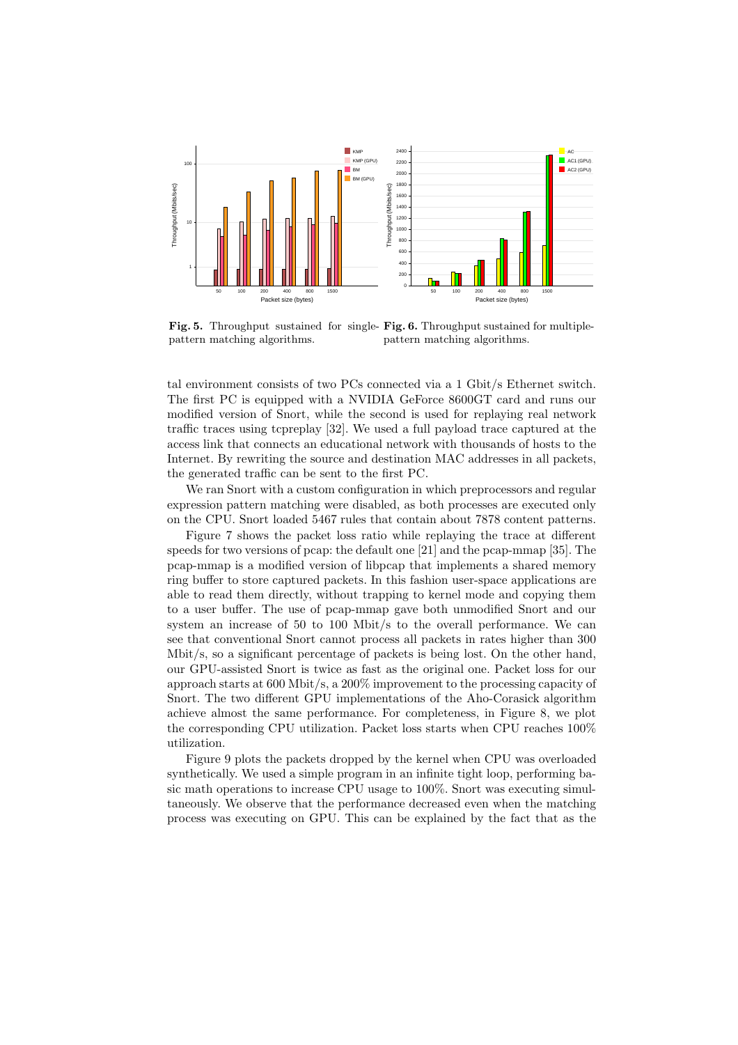

Fig. 5. Throughput sustained for single-Fig. 6. Throughput sustained for multiplepattern matching algorithms. pattern matching algorithms.

tal environment consists of two PCs connected via a 1 Gbit/s Ethernet switch. The first PC is equipped with a NVIDIA GeForce 8600GT card and runs our modified version of Snort, while the second is used for replaying real network traffic traces using tcpreplay [32]. We used a full payload trace captured at the access link that connects an educational network with thousands of hosts to the Internet. By rewriting the source and destination MAC addresses in all packets, the generated traffic can be sent to the first PC.

We ran Snort with a custom configuration in which preprocessors and regular expression pattern matching were disabled, as both processes are executed only on the CPU. Snort loaded 5467 rules that contain about 7878 content patterns.

Figure 7 shows the packet loss ratio while replaying the trace at different speeds for two versions of pcap: the default one [21] and the pcap-mmap [35]. The pcap-mmap is a modified version of libpcap that implements a shared memory ring buffer to store captured packets. In this fashion user-space applications are able to read them directly, without trapping to kernel mode and copying them to a user buffer. The use of pcap-mmap gave both unmodified Snort and our system an increase of 50 to 100 Mbit/s to the overall performance. We can see that conventional Snort cannot process all packets in rates higher than 300 Mbit/s, so a significant percentage of packets is being lost. On the other hand, our GPU-assisted Snort is twice as fast as the original one. Packet loss for our approach starts at 600 Mbit/s, a 200% improvement to the processing capacity of Snort. The two different GPU implementations of the Aho-Corasick algorithm achieve almost the same performance. For completeness, in Figure 8, we plot the corresponding CPU utilization. Packet loss starts when CPU reaches 100% utilization.

Figure 9 plots the packets dropped by the kernel when CPU was overloaded synthetically. We used a simple program in an infinite tight loop, performing basic math operations to increase CPU usage to 100%. Snort was executing simultaneously. We observe that the performance decreased even when the matching process was executing on GPU. This can be explained by the fact that as the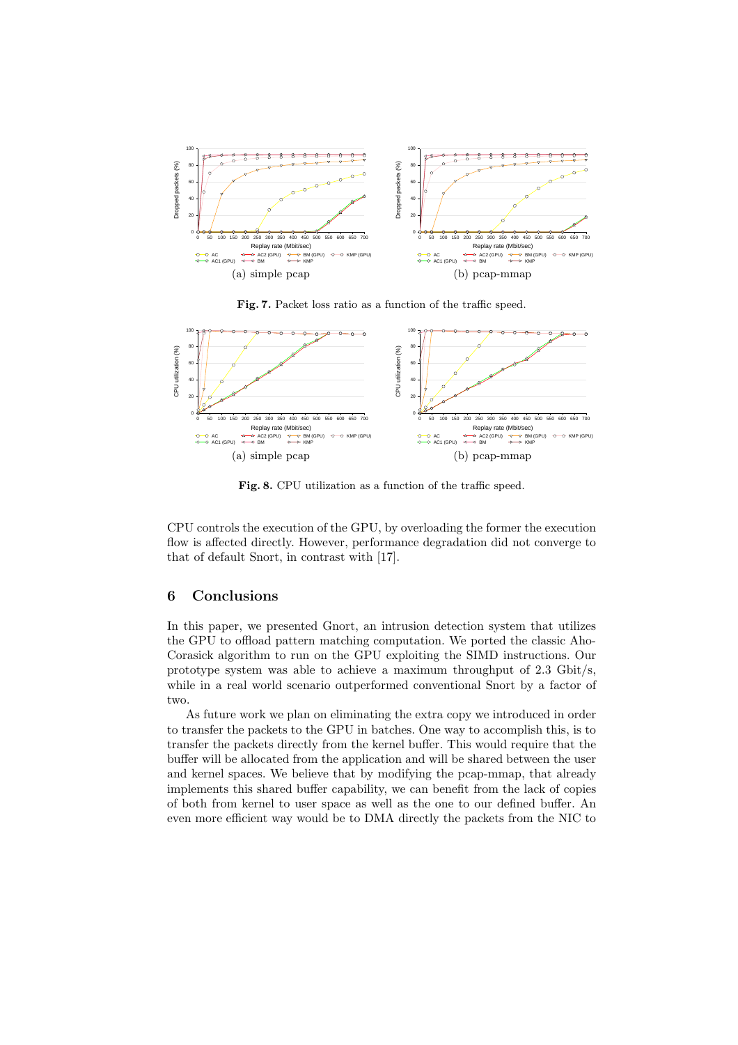

Fig. 7. Packet loss ratio as a function of the traffic speed.



Fig. 8. CPU utilization as a function of the traffic speed.

CPU controls the execution of the GPU, by overloading the former the execution flow is affected directly. However, performance degradation did not converge to that of default Snort, in contrast with [17].

## 6 Conclusions

In this paper, we presented Gnort, an intrusion detection system that utilizes the GPU to offload pattern matching computation. We ported the classic Aho-Corasick algorithm to run on the GPU exploiting the SIMD instructions. Our prototype system was able to achieve a maximum throughput of 2.3 Gbit/s, while in a real world scenario outperformed conventional Snort by a factor of two.

As future work we plan on eliminating the extra copy we introduced in order to transfer the packets to the GPU in batches. One way to accomplish this, is to transfer the packets directly from the kernel buffer. This would require that the buffer will be allocated from the application and will be shared between the user and kernel spaces. We believe that by modifying the pcap-mmap, that already implements this shared buffer capability, we can benefit from the lack of copies of both from kernel to user space as well as the one to our defined buffer. An even more efficient way would be to DMA directly the packets from the NIC to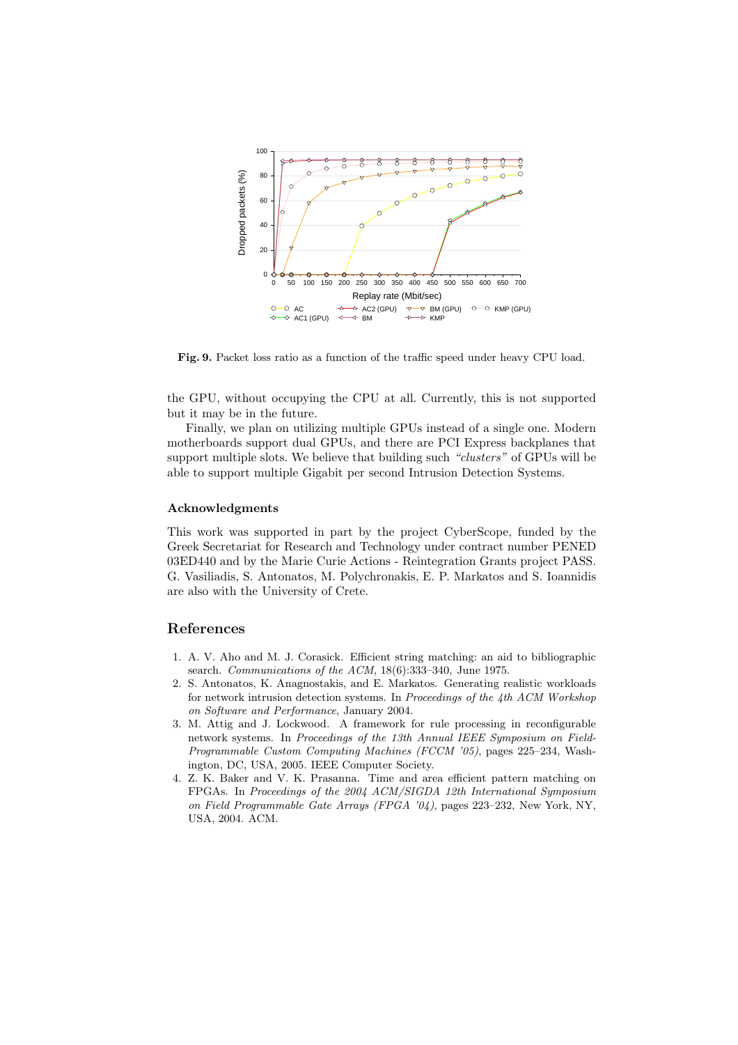

Fig. 9. Packet loss ratio as a function of the traffic speed under heavy CPU load.

the GPU, without occupying the CPU at all. Currently, this is not supported but it may be in the future.

Finally, we plan on utilizing multiple GPUs instead of a single one. Modern motherboards support dual GPUs, and there are PCI Express backplanes that support multiple slots. We believe that building such "clusters" of GPUs will be able to support multiple Gigabit per second Intrusion Detection Systems.

## Acknowledgments

This work was supported in part by the project CyberScope, funded by the Greek Secretariat for Research and Technology under contract number PENED 03ED440 and by the Marie Curie Actions - Reintegration Grants project PASS. G. Vasiliadis, S. Antonatos, M. Polychronakis, E. P. Markatos and S. Ioannidis are also with the University of Crete.

# References

- 1. A. V. Aho and M. J. Corasick. Efficient string matching: an aid to bibliographic search. Communications of the ACM, 18(6):333-340, June 1975.
- 2. S. Antonatos, K. Anagnostakis, and E. Markatos. Generating realistic workloads for network intrusion detection systems. In Proceedings of the 4th ACM Workshop on Software and Performance, January 2004.
- 3. M. Attig and J. Lockwood. A framework for rule processing in reconfigurable network systems. In Proceedings of the 13th Annual IEEE Symposium on Field-Programmable Custom Computing Machines (FCCM '05), pages 225–234, Washington, DC, USA, 2005. IEEE Computer Society.
- 4. Z. K. Baker and V. K. Prasanna. Time and area efficient pattern matching on FPGAs. In Proceedings of the 2004 ACM/SIGDA 12th International Symposium on Field Programmable Gate Arrays (FPGA '04), pages 223–232, New York, NY, USA, 2004. ACM.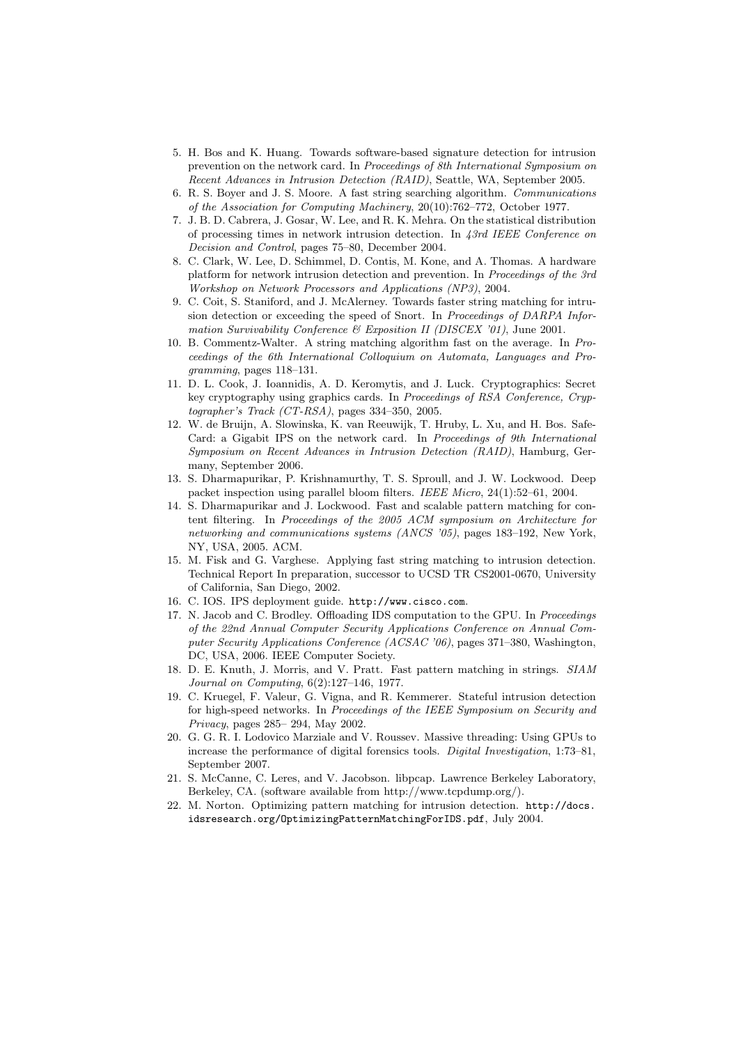- 5. H. Bos and K. Huang. Towards software-based signature detection for intrusion prevention on the network card. In Proceedings of 8th International Symposium on Recent Advances in Intrusion Detection (RAID), Seattle, WA, September 2005.
- 6. R. S. Boyer and J. S. Moore. A fast string searching algorithm. Communications of the Association for Computing Machinery, 20(10):762–772, October 1977.
- 7. J. B. D. Cabrera, J. Gosar, W. Lee, and R. K. Mehra. On the statistical distribution of processing times in network intrusion detection. In 43rd IEEE Conference on Decision and Control, pages 75–80, December 2004.
- 8. C. Clark, W. Lee, D. Schimmel, D. Contis, M. Kone, and A. Thomas. A hardware platform for network intrusion detection and prevention. In Proceedings of the 3rd Workshop on Network Processors and Applications (NP3), 2004.
- 9. C. Coit, S. Staniford, and J. McAlerney. Towards faster string matching for intrusion detection or exceeding the speed of Snort. In Proceedings of DARPA Information Survivability Conference & Exposition II (DISCEX '01), June 2001.
- 10. B. Commentz-Walter. A string matching algorithm fast on the average. In Proceedings of the 6th International Colloquium on Automata, Languages and Programming, pages 118–131.
- 11. D. L. Cook, J. Ioannidis, A. D. Keromytis, and J. Luck. Cryptographics: Secret key cryptography using graphics cards. In Proceedings of RSA Conference, Cryptographer's Track (CT-RSA), pages 334–350, 2005.
- 12. W. de Bruijn, A. Slowinska, K. van Reeuwijk, T. Hruby, L. Xu, and H. Bos. Safe-Card: a Gigabit IPS on the network card. In Proceedings of 9th International Symposium on Recent Advances in Intrusion Detection (RAID), Hamburg, Germany, September 2006.
- 13. S. Dharmapurikar, P. Krishnamurthy, T. S. Sproull, and J. W. Lockwood. Deep packet inspection using parallel bloom filters. IEEE Micro, 24(1):52–61, 2004.
- 14. S. Dharmapurikar and J. Lockwood. Fast and scalable pattern matching for content filtering. In Proceedings of the 2005 ACM symposium on Architecture for networking and communications systems (ANCS '05), pages 183–192, New York, NY, USA, 2005. ACM.
- 15. M. Fisk and G. Varghese. Applying fast string matching to intrusion detection. Technical Report In preparation, successor to UCSD TR CS2001-0670, University of California, San Diego, 2002.
- 16. C. IOS. IPS deployment guide. http://www.cisco.com.
- 17. N. Jacob and C. Brodley. Offloading IDS computation to the GPU. In Proceedings of the 22nd Annual Computer Security Applications Conference on Annual Computer Security Applications Conference (ACSAC '06), pages 371–380, Washington, DC, USA, 2006. IEEE Computer Society.
- 18. D. E. Knuth, J. Morris, and V. Pratt. Fast pattern matching in strings. SIAM Journal on Computing, 6(2):127–146, 1977.
- 19. C. Kruegel, F. Valeur, G. Vigna, and R. Kemmerer. Stateful intrusion detection for high-speed networks. In Proceedings of the IEEE Symposium on Security and Privacy, pages 285– 294, May 2002.
- 20. G. G. R. I. Lodovico Marziale and V. Roussev. Massive threading: Using GPUs to increase the performance of digital forensics tools. Digital Investigation, 1:73–81, September 2007.
- 21. S. McCanne, C. Leres, and V. Jacobson. libpcap. Lawrence Berkeley Laboratory, Berkeley, CA. (software available from http://www.tcpdump.org/).
- 22. M. Norton. Optimizing pattern matching for intrusion detection. http://docs. idsresearch.org/OptimizingPatternMatchingForIDS.pdf, July 2004.